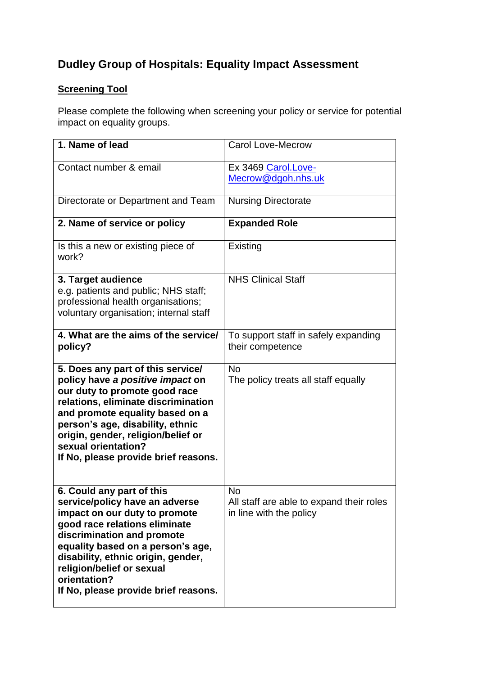# **Dudley Group of Hospitals: Equality Impact Assessment**

## **Screening Tool**

Please complete the following when screening your policy or service for potential impact on equality groups.

| 1. Name of lead                                                                                                                                                                                                                                                                                                             | <b>Carol Love-Mecrow</b>                                                         |
|-----------------------------------------------------------------------------------------------------------------------------------------------------------------------------------------------------------------------------------------------------------------------------------------------------------------------------|----------------------------------------------------------------------------------|
| Contact number & email                                                                                                                                                                                                                                                                                                      | Ex 3469 Carol.Love-<br>Mecrow@dgoh.nhs.uk                                        |
| Directorate or Department and Team                                                                                                                                                                                                                                                                                          | <b>Nursing Directorate</b>                                                       |
| 2. Name of service or policy                                                                                                                                                                                                                                                                                                | <b>Expanded Role</b>                                                             |
| Is this a new or existing piece of<br>work?                                                                                                                                                                                                                                                                                 | Existing                                                                         |
| 3. Target audience<br>e.g. patients and public; NHS staff;<br>professional health organisations;<br>voluntary organisation; internal staff                                                                                                                                                                                  | <b>NHS Clinical Staff</b>                                                        |
| 4. What are the aims of the service/<br>policy?                                                                                                                                                                                                                                                                             | To support staff in safely expanding<br>their competence                         |
| 5. Does any part of this service/<br>policy have a positive impact on<br>our duty to promote good race<br>relations, eliminate discrimination<br>and promote equality based on a<br>person's age, disability, ethnic<br>origin, gender, religion/belief or<br>sexual orientation?<br>If No, please provide brief reasons.   | <b>No</b><br>The policy treats all staff equally                                 |
| 6. Could any part of this<br>service/policy have an adverse<br>impact on our duty to promote<br>good race relations eliminate<br>discrimination and promote<br>equality based on a person's age,<br>disability, ethnic origin, gender,<br>religion/belief or sexual<br>orientation?<br>If No, please provide brief reasons. | <b>No</b><br>All staff are able to expand their roles<br>in line with the policy |